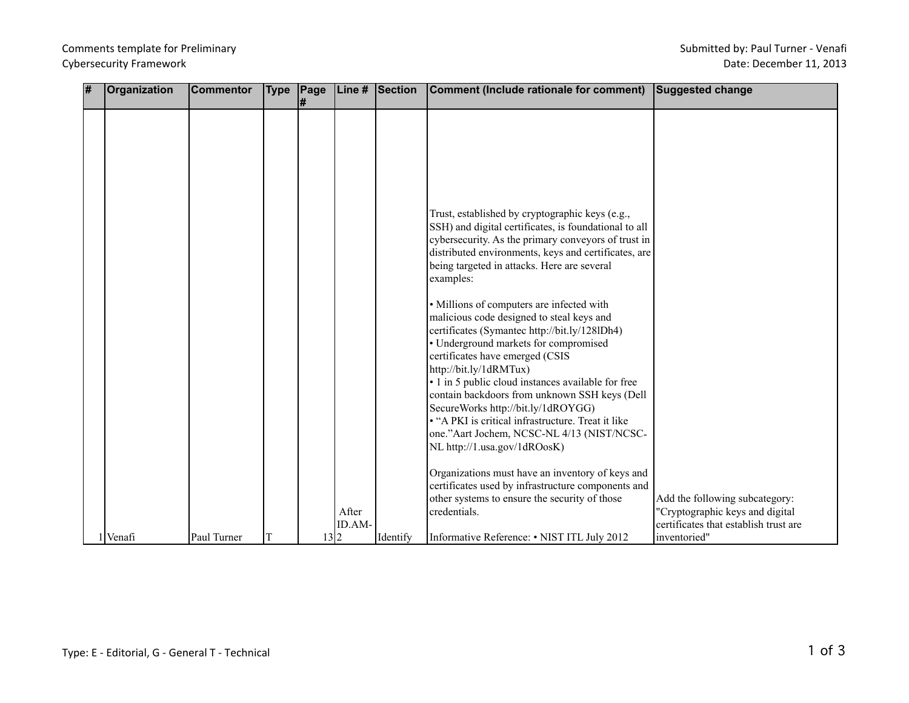## Comments template for Preliminary Cybersecurity Framework

| # | Organization | <b>Commentor</b> | <b>Type</b> | Page |        | Line # Section | Comment (Include rationale for comment)                                                             | <b>Suggested change</b>               |
|---|--------------|------------------|-------------|------|--------|----------------|-----------------------------------------------------------------------------------------------------|---------------------------------------|
|   |              |                  |             | #    |        |                |                                                                                                     |                                       |
|   |              |                  |             |      |        |                |                                                                                                     |                                       |
|   |              |                  |             |      |        |                |                                                                                                     |                                       |
|   |              |                  |             |      |        |                |                                                                                                     |                                       |
|   |              |                  |             |      |        |                |                                                                                                     |                                       |
|   |              |                  |             |      |        |                |                                                                                                     |                                       |
|   |              |                  |             |      |        |                |                                                                                                     |                                       |
|   |              |                  |             |      |        |                |                                                                                                     |                                       |
|   |              |                  |             |      |        |                | Trust, established by cryptographic keys (e.g.,                                                     |                                       |
|   |              |                  |             |      |        |                | SSH) and digital certificates, is foundational to all                                               |                                       |
|   |              |                  |             |      |        |                | cybersecurity. As the primary conveyors of trust in                                                 |                                       |
|   |              |                  |             |      |        |                | distributed environments, keys and certificates, are<br>being targeted in attacks. Here are several |                                       |
|   |              |                  |             |      |        |                | examples:                                                                                           |                                       |
|   |              |                  |             |      |        |                |                                                                                                     |                                       |
|   |              |                  |             |      |        |                | · Millions of computers are infected with                                                           |                                       |
|   |              |                  |             |      |        |                | malicious code designed to steal keys and                                                           |                                       |
|   |              |                  |             |      |        |                | certificates (Symantec http://bit.ly/128lDh4)                                                       |                                       |
|   |              |                  |             |      |        |                | · Underground markets for compromised                                                               |                                       |
|   |              |                  |             |      |        |                | certificates have emerged (CSIS                                                                     |                                       |
|   |              |                  |             |      |        |                | http://bit.ly/1dRMTux)                                                                              |                                       |
|   |              |                  |             |      |        |                | • 1 in 5 public cloud instances available for free                                                  |                                       |
|   |              |                  |             |      |        |                | contain backdoors from unknown SSH keys (Dell                                                       |                                       |
|   |              |                  |             |      |        |                | SecureWorks http://bit.ly/1dROYGG)                                                                  |                                       |
|   |              |                  |             |      |        |                | • "A PKI is critical infrastructure. Treat it like                                                  |                                       |
|   |              |                  |             |      |        |                | one."Aart Jochem, NCSC-NL 4/13 (NIST/NCSC-<br>NL http://1.usa.gov/1dROosK)                          |                                       |
|   |              |                  |             |      |        |                |                                                                                                     |                                       |
|   |              |                  |             |      |        |                | Organizations must have an inventory of keys and                                                    |                                       |
|   |              |                  |             |      |        |                | certificates used by infrastructure components and                                                  |                                       |
|   |              |                  |             |      |        |                | other systems to ensure the security of those                                                       | Add the following subcategory:        |
|   |              |                  |             |      | After  |                | credentials.                                                                                        | 'Cryptographic keys and digital       |
|   |              |                  |             |      | ID.AM- |                |                                                                                                     | certificates that establish trust are |
|   | 1 Venafi     | Paul Turner      | T           | 13 2 |        | Identify       | Informative Reference: • NIST ITL July 2012                                                         | inventoried"                          |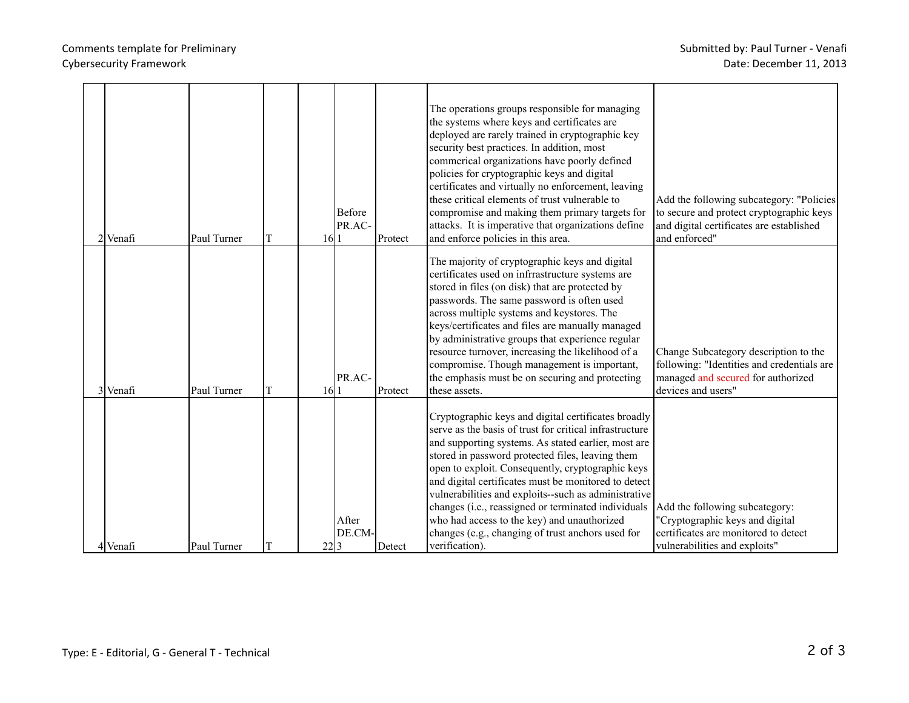## Comments template for Preliminary Cybersecurity Framework

| $2$ Venafi | Paul Turner | T | 16 1 | <b>Before</b><br>PR.AC- | Protect | The operations groups responsible for managing<br>the systems where keys and certificates are<br>deployed are rarely trained in cryptographic key<br>security best practices. In addition, most<br>commerical organizations have poorly defined<br>policies for cryptographic keys and digital<br>certificates and virtually no enforcement, leaving<br>these critical elements of trust vulnerable to<br>compromise and making them primary targets for<br>attacks. It is imperative that organizations define<br>and enforce policies in this area.                       | Add the following subcategory: "Policies<br>to secure and protect cryptographic keys<br>and digital certificates are established<br>and enforced" |
|------------|-------------|---|------|-------------------------|---------|-----------------------------------------------------------------------------------------------------------------------------------------------------------------------------------------------------------------------------------------------------------------------------------------------------------------------------------------------------------------------------------------------------------------------------------------------------------------------------------------------------------------------------------------------------------------------------|---------------------------------------------------------------------------------------------------------------------------------------------------|
| 3 Venafi   | Paul Turner | Т | 16 1 | PR.AC-                  | Protect | The majority of cryptographic keys and digital<br>certificates used on infrrastructure systems are<br>stored in files (on disk) that are protected by<br>passwords. The same password is often used<br>across multiple systems and keystores. The<br>keys/certificates and files are manually managed<br>by administrative groups that experience regular<br>resource turnover, increasing the likelihood of a<br>compromise. Though management is important,<br>the emphasis must be on securing and protecting<br>these assets.                                           | Change Subcategory description to the<br>following: "Identities and credentials are<br>managed and secured for authorized<br>devices and users"   |
| 4 Venafi   | Paul Turner | T | 22 3 | After<br>DE.CM-         | Detect  | Cryptographic keys and digital certificates broadly<br>serve as the basis of trust for critical infrastructure<br>and supporting systems. As stated earlier, most are<br>stored in password protected files, leaving them<br>open to exploit. Consequently, cryptographic keys<br>and digital certificates must be monitored to detect<br>vulnerabilities and exploits--such as administrative<br>changes (i.e., reassigned or terminated individuals<br>who had access to the key) and unauthorized<br>changes (e.g., changing of trust anchors used for<br>verification). | Add the following subcategory:<br>"Cryptographic keys and digital<br>certificates are monitored to detect<br>vulnerabilities and exploits"        |